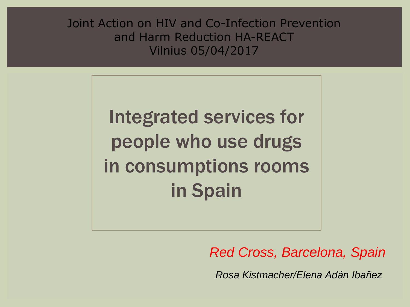Joint Action on HIV and Co-Infection Prevention and Harm Reduction HA-REACT Vilnius 05/04/2017

> Integrated services for people who use drugs in consumptions rooms in Spain

> > *Red Cross, Barcelona, Spain*

*Rosa Kistmacher/Elena Adán Ibañez*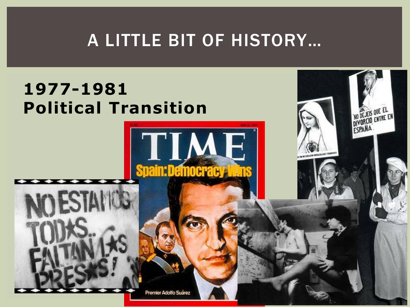# A LITTLE BIT OF HISTORY…

TIME

**Spain:Democracy** 

NO DE JEIS QUE EL

ESPANA

### **1977-1981 Political Transition**

Premier Adolfo Suárez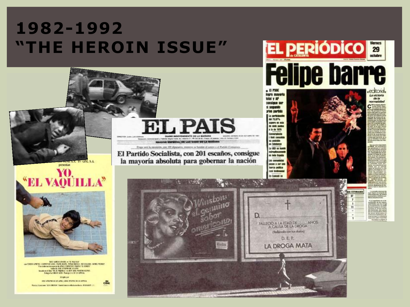#### **1982-1992 "THE HEROIN ISSUE"**

**CINE S.A.** presentan



Minights por 1952 STEPHE DE EL 1976 / JESE APRIMO DE LA 1978 A.  $c$ live Nasian Colores 105 CRESOV Bank Second Estate reliable 2001AM 12:

**EL PAIS QUAL DE LAS GOND DE LA MILIARA** El Partido Socialista, con 201 escaños, consigue

la mayoría absoluta para gobernar la nación

**Vietos** 



HALLEOO A LA EDAD DE ANOS (Relievale con has diabou) D.E.P. LA DROGA MATA

La victoria de la normalidad

**VOS ESTIMADOS**  $\overline{u}$ 

 $11$ 

edtorial.

**Viernes** 29 octubre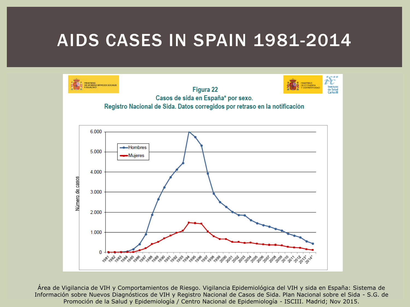### AIDS CASES IN SPAIN 1981-2014



Área de Vigilancia de VIH y Comportamientos de Riesgo. Vigilancia Epidemiológica del VIH y sida en España: Sistema de Información sobre Nuevos Diagnósticos de VIH y Registro Nacional de Casos de Sida. Plan Nacional sobre el Sida - S.G. de Promoción de la Salud y Epidemiología / Centro Nacional de Epidemiología - ISCIII. Madrid; Nov 2015.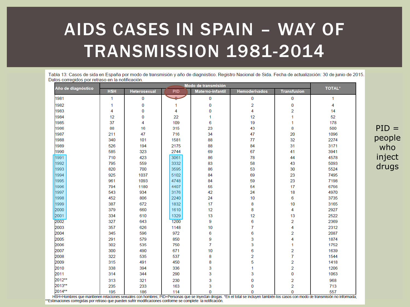# AIDS CASES IN SPAIN – WAY OF TRANSMISSION 1981-2014

Tabla 13: Casos de sida en España por modo de transmisión y año de diagnóstico. Registro Nacional de Sida, Fecha de actualización: 30 de junio de 2015. Datos corregidos por retraso en la notificación.

| Año de diagnóstico | Modo de transmisión |              |               |                         |                                    |                         | <b>TOTAL*</b> |
|--------------------|---------------------|--------------|---------------|-------------------------|------------------------------------|-------------------------|---------------|
|                    | <b>HSH</b>          | Heterosexual | <b>PID</b>    | <b>Materno-infantil</b> | <b>Hemoderivados</b>               | <b>Transfusion</b>      |               |
| 1981               | $\mathbf{1}$        | 0            | لمما          | 0                       | 0                                  | 0                       | 1             |
| 1982               | 1                   | 0            | 1             | 0                       | 2                                  | 0                       | 4             |
| 1983               | 4                   | 0            | 4             | 0                       | 4                                  | $\overline{2}$          | 14            |
| 1984               | 12                  | 0            | 22            | 1                       | 12                                 | 1                       | 52            |
| 1985               | 37                  | 4            | 109           | 6                       | 19                                 | 1                       | 178           |
| 1986               | 88                  | 16           | 315           | 23                      | 43                                 | 8                       | 500           |
| 1987               | 211                 | 47           | 716           | 34                      | 47                                 | 20                      | 1096          |
| 1988               | 340                 | 101          | 1581          | 88                      | 77                                 | 32                      | 2274          |
| 1989               | 526                 | 194          | 2175          | 88                      | 84                                 | 31                      | 3171          |
| 1990               | 585                 | 323          | 2744          | 69                      | 67                                 | 41                      | 3941          |
| 1991               | 710                 | 423          | 3061          | 86                      | 78                                 | 44                      | 4578          |
| 1992               | 795                 | 559          | 3332          | 83                      | 58                                 | 43                      | 5093          |
| 1993               | 820                 | 700          | 3595          | 86                      | 53                                 | 30                      | 5524          |
| 1994               | 925                 | 1037         | 5102          | 84                      | 69                                 | 23                      | 7495          |
| 1995               | 961                 | 1093         | 4748          | 84                      | 59                                 | 23                      | 7198          |
| 1996               | 794                 | 1180         | 4407          | 55                      | 54                                 | 17                      | 6756          |
| 1997               | 543                 | 934          | 3176          | 42                      | 24                                 | 18                      | 4970          |
| 1998               | 452                 | 806          | 2240          | 24                      | 10                                 | 6                       | 3735          |
| 1999               | 387                 | 672          | 1832          | 17                      | 8                                  | 10                      | 3165          |
| 2000               | 379                 | 660          | 1610          | 12                      | 8                                  | 4                       | 2927          |
| 2001               | 334                 | 610          | 1329          | 13                      | 12                                 | 13                      | 2522          |
| 2002               | 327                 | 643          | 1200          | 9                       | 6                                  | $\overline{2}$          | 2369          |
| 2003               | 357                 | 626          | 1148          | 10                      | 7                                  | 4                       | 2312          |
| 2004               | 345                 | 596          | 972           | 6                       | 6                                  | 2                       | 2087          |
| 2005               | 291                 | 579          | 850           | 9                       | 3                                  | 4                       | 1874          |
| 2006               | 302                 | 535          | 750           | $\overline{7}$          | 3                                  | 1                       | 1752          |
| 2007               | 300                 | 490          | 671           | 10                      | 6                                  | 2                       | 1639          |
| 2008               | 322                 | 535          | 537           | 8                       | 2                                  | 7                       | 1544          |
| 2009               | 315                 | 491          | 450           | 8                       | 5                                  | $\overline{2}$          | 1418          |
| 2010               | 338                 | 394          | 336           | 3                       | 1                                  | $\overline{2}$          | 1206          |
| 2011               | 314                 | 344          | 290           | 3                       | 3                                  | $\bf{0}$                | 1063          |
| 2012**             | 313                 | 321          | 230           | 3                       | 0                                  | $\overline{\mathbf{2}}$ | 968           |
| 2013**             | 235                 | 233          | 163           | 3                       | 0                                  | $\overline{2}$          | 713           |
| 2014**<br>10011112 | 195                 | 186          | 114<br>nin n. | 0                       | 0<br><b>Altres and Association</b> | $\Omega$                | 557           |

 $PID =$ people who inject drugs

HSH=Hombres que mantienen relaciones sexuales con hombres; PID=Personas que se inyectan drogas. \*En el total se incluyen también los casos con modo de transmisión no informada; \*\*Estimaciones corregidas por retraso que pueden sufrir modificaciones conforme se complete la notificación.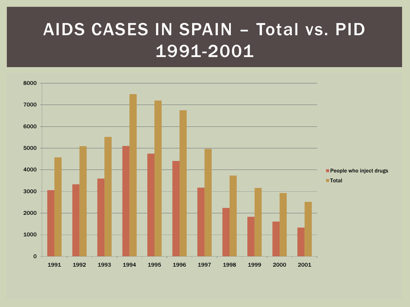# AIDS CASES IN SPAIN – Total vs. PID 1991-2001

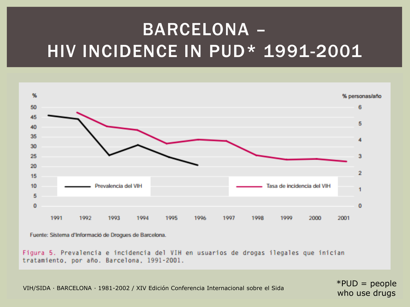# BARCELONA – HIV INCIDENCE IN PUD\* 1991-2001



Fuente: Sistema d'Informació de Drogues de Barcelona.

Figura 5. Prevalencia e incidencia del VIH en usuarios de drogas ilegales que inician tratamiento, por año. Barcelona, 1991-2001.

VIH/SIDA · BARCELONA · 1981-2002 / XIV Edición Conferencia Internacional sobre el Sida  $*PUD = people$ 

who use drugs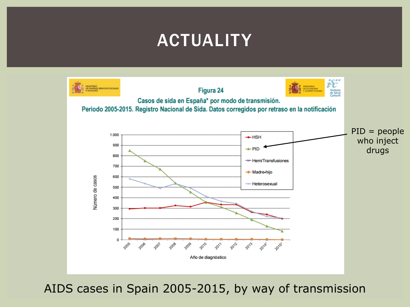## ACTUALITY



AIDS cases in Spain 2005-2015, by way of transmission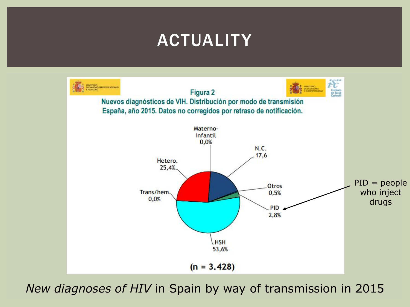## ACTUALITY



*New diagnoses of HIV* in Spain by way of transmission in 2015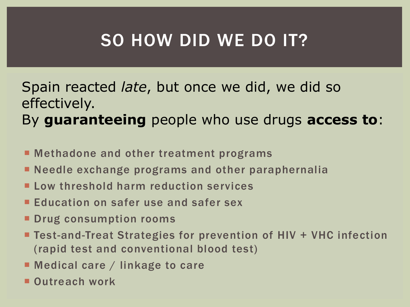# SO HOW DID WE DO IT?

#### Spain reacted *late*, but once we did, we did so effectively. By **guaranteeing** people who use drugs **access to**:

- Methadone and other treatment programs
- **Needle exchange programs and other paraphernalia**
- Low threshold harm reduction services
- **Education on safer use and safer sex**
- **Drug consumption rooms**
- Test-and-Treat Strategies for prevention of HIV + VHC infection (rapid test and conventional blood test)
- Medical care / linkage to care
- Outreach work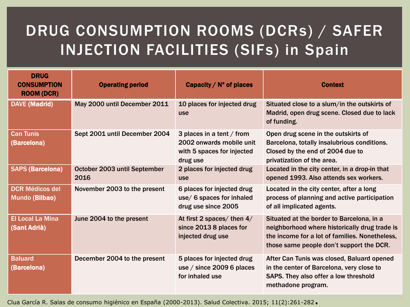#### DRUG CONSUMPTION ROOMS (DCRs) / SAFER INJECTION FACILITIES (SIFs) in Spain

| <b>DRUG</b><br><b>CONSUMPTION</b><br><b>ROOM (DCR)</b> | <b>Operating period</b>              | Capacity / $N^{\circ}$ of places                                                                | <b>Context</b>                                                                                                                                                                           |  |
|--------------------------------------------------------|--------------------------------------|-------------------------------------------------------------------------------------------------|------------------------------------------------------------------------------------------------------------------------------------------------------------------------------------------|--|
| <b>DAVE (Madrid)</b>                                   | May 2000 until December 2011         | 10 places for injected drug<br>use                                                              | Situated close to a slum/in the outskirts of<br>Madrid, open drug scene. Closed due to lack<br>of funding.                                                                               |  |
| <b>Can Tunis</b><br>(Barcelona)                        | Sept 2001 until December 2004        | 3 places in a tent / from<br>2002 onwards mobile unit<br>with 5 spaces for injected<br>drug use | Open drug scene in the outskirts of<br>Barcelona, totally insalubrious conditions.<br>Closed by the end of 2004 due to<br>privatization of the area.                                     |  |
| <b>SAPS (Barcelona)</b>                                | October 2003 until September<br>2016 | 2 places for injected drug<br><b>use</b>                                                        | Located in the city center, in a drop-in that<br>opened 1993. Also attends sex workers.                                                                                                  |  |
| <b>DCR Médicos del</b><br>Mundo (Bilbao)               | November 2003 to the present         | 6 places for injected drug<br>use/ 6 spaces for inhaled<br>drug use since 2005                  | Located in the city center, after a long<br>process of planning and active participation<br>of all implicated agents.                                                                    |  |
| <b>El Local La Mina</b><br>(Sant Adrià)                | June 2004 to the present             | At first 2 spaces/ then $4/$<br>since 2013 8 places for<br>injected drug use                    | Situated at the border to Barcelona, in a<br>neighborhood where historically drug trade is<br>the income for a lot of families. Nonetheless,<br>those same people don't support the DCR. |  |
| <b>Baluard</b><br>(Barcelona)                          | December 2004 to the present         | 5 places for injected drug<br>use $/$ since 2009 6 places<br>for inhaled use                    | After Can Tunis was closed, Baluard opened<br>in the center of Barcelona, very close to<br>SAPS. They also offer a low threshold<br>methadone program.                                   |  |

Clua García R. Salas de consumo higiénico en España (2000-2013). Salud Colectiva. 2015; 11(2):261-282.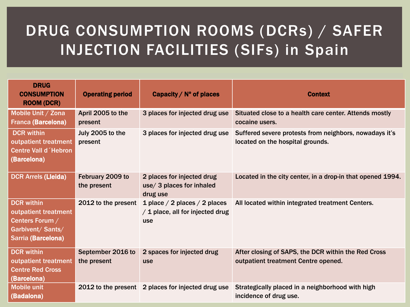#### DRUG CONSUMPTION ROOMS (DCRs) / SAFER INJECTION FACILITIES (SIFs) in Spain

| <b>DRUG</b><br><b>CONSUMPTION</b><br><b>ROOM (DCR)</b>                                                  | <b>Operating period</b>          | Capacity / $N^{\circ}$ of places                                         | <b>Context</b>                                                                             |
|---------------------------------------------------------------------------------------------------------|----------------------------------|--------------------------------------------------------------------------|--------------------------------------------------------------------------------------------|
| Mobile Unit / Zona<br><b>Franca (Barcelona)</b>                                                         | April 2005 to the<br>present     | 3 places for injected drug use                                           | Situated close to a health care center. Attends mostly<br>cocaine users.                   |
| <b>DCR</b> within<br>outpatient treatment<br><b>Centre Vall d Hebron</b><br>(Barcelona)                 | July 2005 to the<br>present      | 3 places for injected drug use                                           | Suffered severe protests from neighbors, nowadays it's<br>located on the hospital grounds. |
| <b>DCR Arrels (Lleida)</b>                                                                              | February 2009 to<br>the present  | 2 places for injected drug<br>use/ 3 places for inhaled<br>drug use      | Located in the city center, in a drop-in that opened 1994.                                 |
| <b>DCR</b> within<br>outpatient treatment<br>Centers Forum /<br>Garbivent/ Sants/<br>Sarria (Barcelona) | 2012 to the present              | 1 place / 2 places / 2 places<br>/ 1 place, all for injected drug<br>use | All located within integrated treatment Centers.                                           |
| <b>DCR</b> within<br>outpatient treatment<br><b>Centre Red Cross</b><br>(Barcelona)                     | September 2016 to<br>the present | 2 spaces for injected drug<br><b>use</b>                                 | After closing of SAPS, the DCR within the Red Cross<br>outpatient treatment Centre opened. |
| <b>Mobile unit</b><br>(Badalona)                                                                        |                                  | 2012 to the present 2 places for injected drug use                       | Strategically placed in a neighborhood with high<br>incidence of drug use.                 |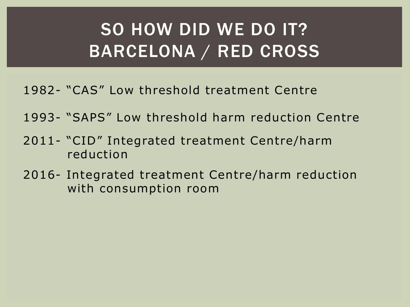# SO HOW DID WE DO IT? BARCELONA / RED CROSS

- 1982- "CAS" Low threshold treatment Centre
- 1993- "SAPS" Low threshold harm reduction Centre
- 2011- "CID" Integrated treatment Centre/harm reduction
- 2016- Integrated treatment Centre/harm reduction with consumption room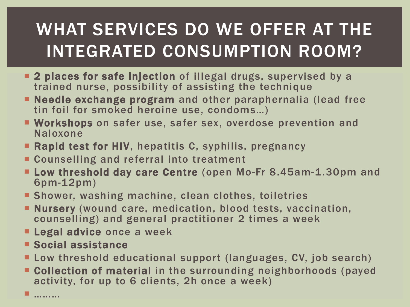# WHAT SERVICES DO WE OFFER AT THE INTEGRATED CONSUMPTION ROOM?

- **2 places for safe injection** of illegal drugs, supervised by a trained nurse, possibility of assisting the technique
- Needle exchange program and other paraphernalia (lead free tin foil for smoked heroine use, condoms…)
- **E** Workshops on safer use, safer sex, overdose prevention and Naloxone
- **Rapid test for HIV**, hepatitis C, syphilis, pregnancy
- **EX Counselling and referral into treatment**
- **Low threshold day care Centre (open Mo-Fr 8.45am-1.30pm and** 6pm-12pm)
- **Shower, washing machine, clean clothes, toiletries**
- **Nursery** (wound care, medication, blood tests, vaccination, counselling) and general practitioner 2 times a week
- **Legal advice once a week**
- **Social assistance**
- Low threshold educational support (languages, CV, job search)
- **EXPOILECTION OF MATERIAL IN the surrounding neighborhoods (payed** activity, for up to 6 clients, 2h once a week)

— …………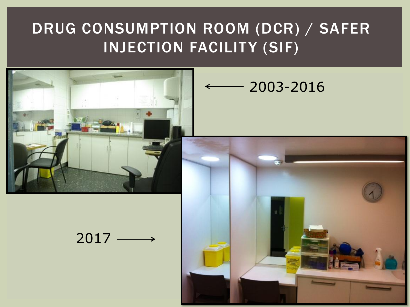#### DRUG CONSUMPTION ROOM (DCR) / SAFER INJECTION FACILITY (SIF)



#### 2003-2016



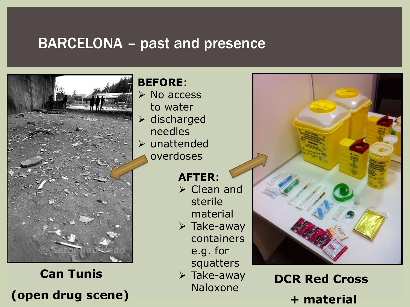#### BARCELONA – past and presence



**Can Tunis (open drug scene)**

#### **BEFORE**:

**≻** No access to water  $\triangleright$  discharged needles unattended overdoses

#### **AFTER**:

- Clean and sterile material
- $\triangleright$  Take-away containers e.g. for squatters
- $\triangleright$  Take-away Naloxone

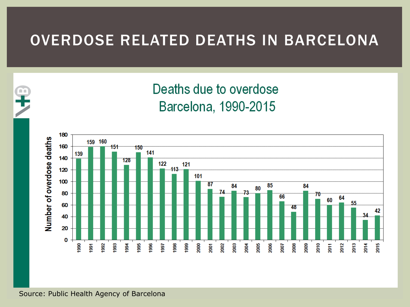#### OVERDOSE RELATED DEATHS IN BARCELONA





#### Source: Public Health Agency of Barcelona

œ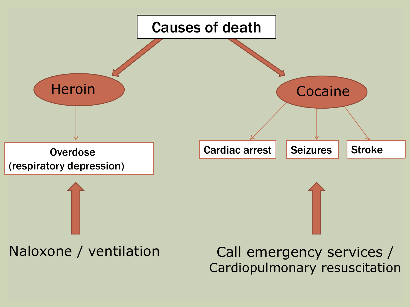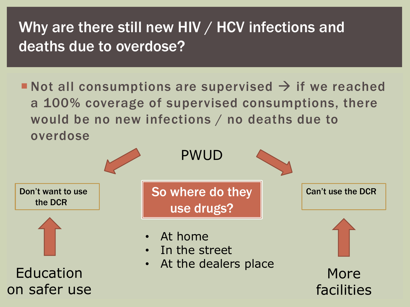#### Why are there still new HIV / HCV infections and deaths due to overdose?

Not all consumptions are supervised  $\rightarrow$  if we reached a 100% coverage of supervised consumptions, there would be no new infections / no deaths due to overdose

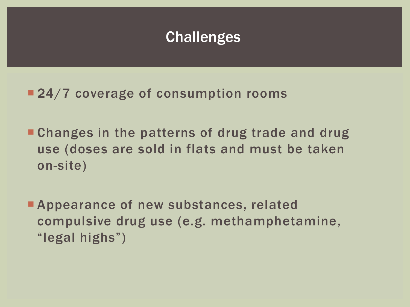#### **Challenges**

- 24/7 coverage of consumption rooms
- **Changes in the patterns of drug trade and drug** use (doses are sold in flats and must be taken on-site)
- **Appearance of new substances, related** compulsive drug use (e.g. methamphetamine, "legal highs")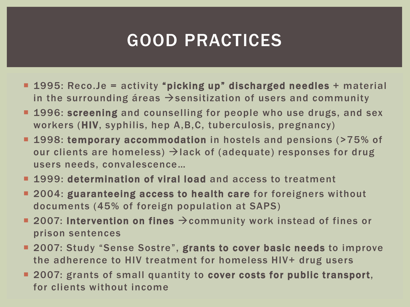# GOOD PRACTICES

- **1995: Reco.Je = activity "picking up" discharged needles + material** in the surrounding áreas  $\rightarrow$  sensitization of users and community
- **1996: screening and counselling for people who use drugs, and sex** workers (HIV, syphilis, hep A,B,C, tuberculosis, pregnancy)
- **1998: temporary accommodation** in hostels and pensions (>75% of our clients are homeless)  $\rightarrow$  lack of (adequate) responses for drug users needs, convalescence…
- **1999: determination of viral load and access to treatment**
- **2004: guaranteeing access to health care for foreigners without** documents (45% of foreign population at SAPS)
- **2007: Intervention on fines**  $\rightarrow$  **community work instead of fines or** prison sentences
- 2007: Study "Sense Sostre", grants to cover basic needs to improve the adherence to HIV treatment for homeless HIV+ drug users
- **2007: grants of small quantity to cover costs for public transport,** for clients without income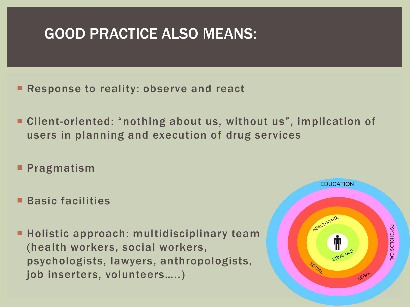#### GOOD PRACTICE ALSO MEANS:

- Response to reality: observe and react
- Client-oriented: "nothing about us, without us", implication of users in planning and execution of drug services
- **Pragmatism**
- Basic facilities
- **Holistic approach: multidisciplinary team** (health workers, social workers, psychologists, lawyers, anthropologists, job inserters, volunteers…..)

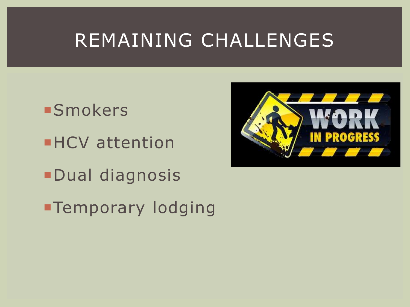# REMAINING CHALLENGES

**Smokers HCV** attention Dual diagnosis

**-Temporary lodging**